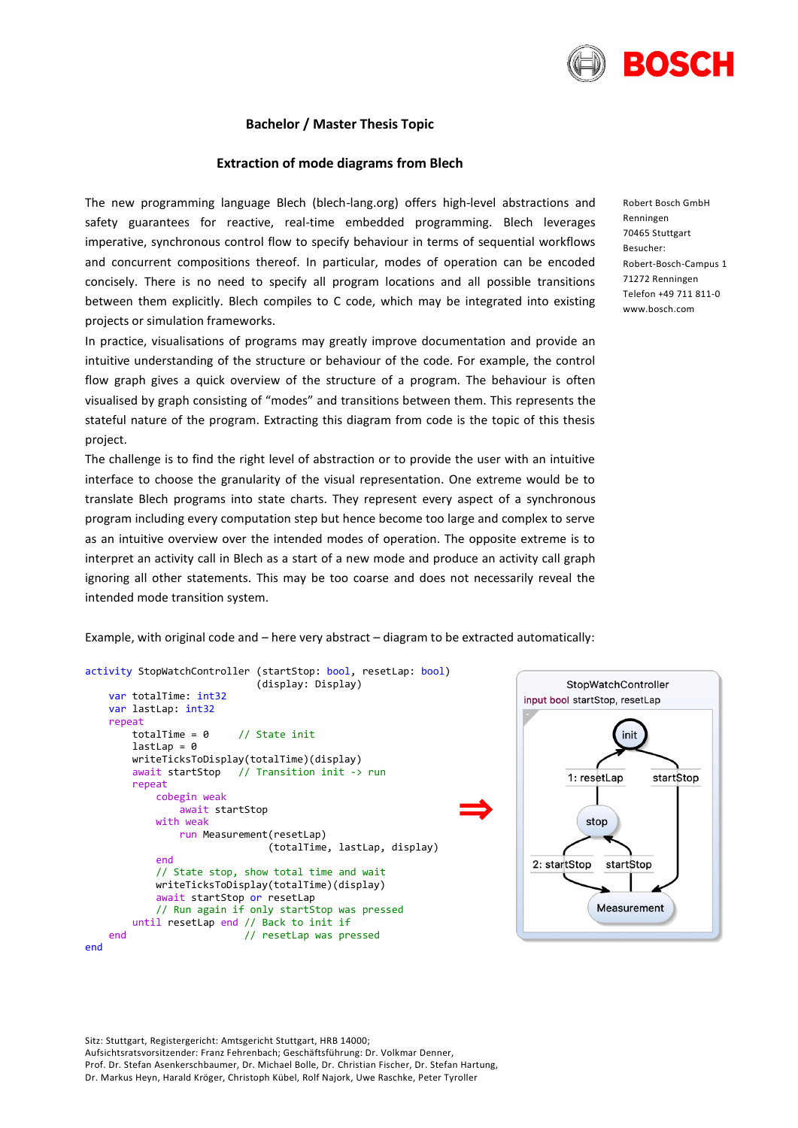

# **Bachelor / Master Thesis Topic**

### **Extraction of mode diagrams from Blech**

The new programming language Blech (blech-lang.org) offers high-level abstractions and safety guarantees for reactive, real-time embedded programming. Blech leverages imperative, synchronous control flow to specify behaviour in terms of sequential workflows and concurrent compositions thereof. In particular, modes of operation can be encoded concisely. There is no need to specify all program locations and all possible transitions between them explicitly. Blech compiles to C code, which may be integrated into existing projects or simulation frameworks.

In practice, visualisations of programs may greatly improve documentation and provide an intuitive understanding of the structure or behaviour of the code. For example, the control flow graph gives a quick overview of the structure of a program. The behaviour is often visualised by graph consisting of "modes" and transitions between them. This represents the stateful nature of the program. Extracting this diagram from code is the topic of this thesis project.

The challenge is to find the right level of abstraction or to provide the user with an intuitive interface to choose the granularity of the visual representation. One extreme would be to translate Blech programs into state charts. They represent every aspect of a synchronous program including every computation step but hence become too large and complex to serve as an intuitive overview over the intended modes of operation. The opposite extreme is to interpret an activity call in Blech as a start of a new mode and produce an activity call graph ignoring all other statements. This may be too coarse and does not necessarily reveal the intended mode transition system.

Example, with original code and – here very abstract – diagram to be extracted automatically:

```
activity StopWatchController (startStop: bool, resetLap: bool)
                           (display: Display)
 var totalTime: int32
 var lastLap: int32
 repeat
    totalTime = 0 // State init
     lastLap = 0writeTicksToDisplay(totalTime)(display)<br>await startStop // Transition init ->
                      // Transition init -> run
     repeat
         cobegin weak
             await startStop
         with weak
             run Measurement(resetLap)
                             (totalTime, lastLap, display)
         end
         // State stop, show total time and wait
         writeTicksToDisplay(totalTime)(display)
         await startStop or resetLap
         // Run again if only startStop was pressed
    until resetLap end // Back to init if
end // resetLap was pressed
                                                              ⇒
```




Sitz: Stuttgart, Registergericht: Amtsgericht Stuttgart, HRB 14000; Aufsichtsratsvorsitzender: Franz Fehrenbach; Geschäftsführung: Dr. Volkmar Denner, Prof. Dr. Stefan Asenkerschbaumer, Dr. Michael Bolle, Dr. Christian Fischer, Dr. Stefan Hartung, Dr. Markus Heyn, Harald Kröger, Christoph Kübel, Rolf Najork, Uwe Raschke, Peter Tyroller

Robert Bosch GmbH Renningen 70465 Stuttgart Besucher: Robert-Bosch-Campus 1 71272 Renningen Telefon +49 711 811-0 www.bosch.com